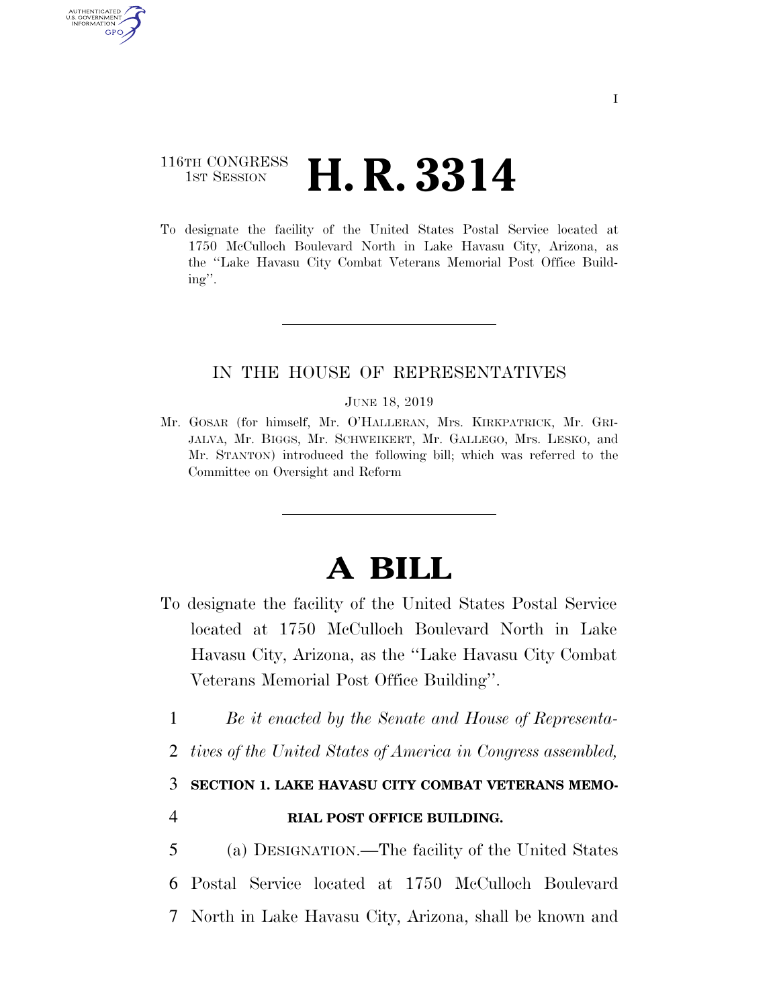# 116TH CONGRESS <sup>TH CONGRESS</sup> **H. R. 3314**

AUTHENTICATED U.S. GOVERNMENT GPO

> To designate the facility of the United States Postal Service located at 1750 McCulloch Boulevard North in Lake Havasu City, Arizona, as the ''Lake Havasu City Combat Veterans Memorial Post Office Building''.

## IN THE HOUSE OF REPRESENTATIVES

#### JUNE 18, 2019

Mr. GOSAR (for himself, Mr. O'HALLERAN, Mrs. KIRKPATRICK, Mr. GRI-JALVA, Mr. BIGGS, Mr. SCHWEIKERT, Mr. GALLEGO, Mrs. LESKO, and Mr. STANTON) introduced the following bill; which was referred to the Committee on Oversight and Reform

# **A BILL**

- To designate the facility of the United States Postal Service located at 1750 McCulloch Boulevard North in Lake Havasu City, Arizona, as the ''Lake Havasu City Combat Veterans Memorial Post Office Building''.
	- 1 *Be it enacted by the Senate and House of Representa-*
	- 2 *tives of the United States of America in Congress assembled,*

## 3 **SECTION 1. LAKE HAVASU CITY COMBAT VETERANS MEMO-**

4 **RIAL POST OFFICE BUILDING.** 

5 (a) DESIGNATION.—The facility of the United States 6 Postal Service located at 1750 McCulloch Boulevard 7 North in Lake Havasu City, Arizona, shall be known and